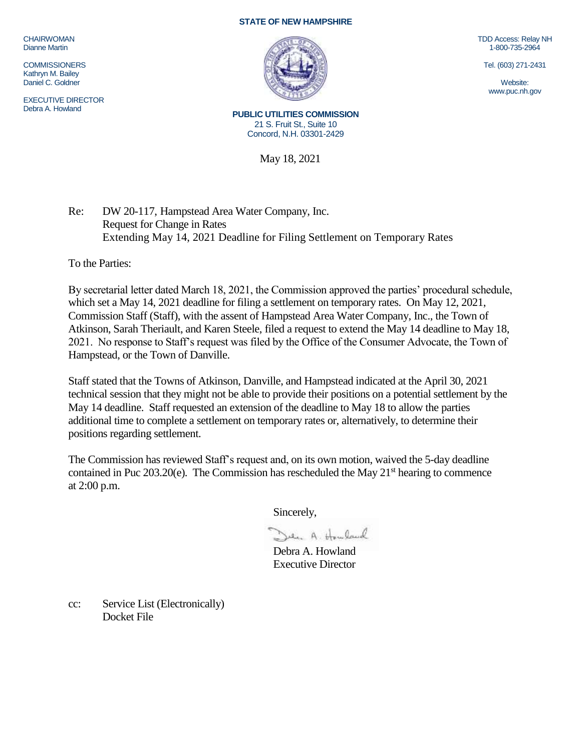CHAIRWOMAN Dianne Martin

**COMMISSIONERS** Kathryn M. Bailey Daniel C. Goldner

EXECUTIVE DIRECTOR Debra A. Howland

## **STATE OF NEW HAMPSHIRE**



TDD Access: Relay NH 1-800-735-2964

Tel. (603) 271-2431

Website: www.puc.nh.gov

**PUBLIC UTILITIES COMMISSION** 21 S. Fruit St., Suite 10 Concord, N.H. 03301-2429

May 18, 2021

Re: DW 20-117, Hampstead Area Water Company, Inc. Request for Change in Rates Extending May 14, 2021 Deadline for Filing Settlement on Temporary Rates

To the Parties:

By secretarial letter dated March 18, 2021, the Commission approved the parties' procedural schedule, which set a May 14, 2021 deadline for filing a settlement on temporary rates. On May 12, 2021, Commission Staff (Staff), with the assent of Hampstead Area Water Company, Inc., the Town of Atkinson, Sarah Theriault, and Karen Steele, filed a request to extend the May 14 deadline to May 18, 2021. No response to Staff's request was filed by the Office of the Consumer Advocate, the Town of Hampstead, or the Town of Danville.

Staff stated that the Towns of Atkinson, Danville, and Hampstead indicated at the April 30, 2021 technical session that they might not be able to provide their positions on a potential settlement by the May 14 deadline. Staff requested an extension of the deadline to May 18 to allow the parties additional time to complete a settlement on temporary rates or, alternatively, to determine their positions regarding settlement.

The Commission has reviewed Staff's request and, on its own motion, waived the 5-day deadline contained in Puc  $203.20(e)$ . The Commission has rescheduled the May  $21<sup>st</sup>$  hearing to commence at 2:00 p.m.

Sincerely,

Den A. Howland

Debra A. Howland Executive Director

cc: Service List (Electronically) Docket File